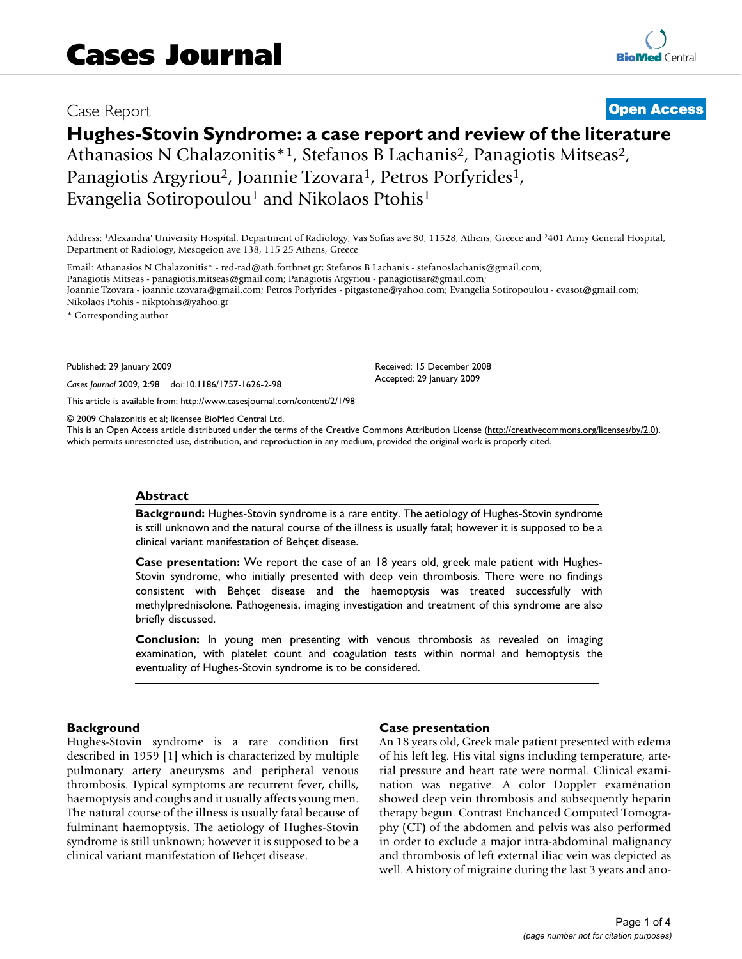## Case Report **[Open Access](http://www.biomedcentral.com/info/about/charter/)**

# **Hughes-Stovin Syndrome: a case report and review of the literature**

Athanasios N Chalazonitis<sup>\*1</sup>, Stefanos B Lachanis<sup>2</sup>, Panagiotis Mitseas<sup>2</sup>, Panagiotis Argyriou<sup>2</sup>, Joannie Tzovara<sup>1</sup>, Petros Porfyrides<sup>1</sup>, Evangelia Sotiropoulou<sup>1</sup> and Nikolaos Ptohis<sup>1</sup>

Address: 1Alexandra' University Hospital, Department of Radiology, Vas Sofias ave 80, 11528, Athens, Greece and 2401 Army General Hospital, Department of Radiology, Mesogeion ave 138, 115 25 Athens, Greece

Email: Athanasios N Chalazonitis\* - red-rad@ath.forthnet.gr; Stefanos B Lachanis - stefanoslachanis@gmail.com; Panagiotis Mitseas - panagiotis.mitseas@gmail.com; Panagiotis Argyriou - panagiotisar@gmail.com; Joannie Tzovara - joannie.tzovara@gmail.com; Petros Porfyrides - pitgastone@yahoo.com; Evangelia Sotiropoulou - evasot@gmail.com; Nikolaos Ptohis - nikptohis@yahoo.gr

\* Corresponding author

Published: 29 January 2009

*Cases Journal* 2009, **2**:98 doi:10.1186/1757-1626-2-98

[This article is available from: http://www.casesjournal.com/content/2/1/98](http://www.casesjournal.com/content/2/1/98)

© 2009 Chalazonitis et al; licensee BioMed Central Ltd.

This is an Open Access article distributed under the terms of the Creative Commons Attribution License [\(http://creativecommons.org/licenses/by/2.0\)](http://creativecommons.org/licenses/by/2.0), which permits unrestricted use, distribution, and reproduction in any medium, provided the original work is properly cited.

#### **Abstract**

**Background:** Hughes-Stovin syndrome is a rare entity. The aetiology of Hughes-Stovin syndrome is still unknown and the natural course of the illness is usually fatal; however it is supposed to be a clinical variant manifestation of Behçet disease.

**Case presentation:** We report the case of an 18 years old, greek male patient with Hughes-Stovin syndrome, who initially presented with deep vein thrombosis. There were no findings consistent with Behçet disease and the haemoptysis was treated successfully with methylprednisolone. Pathogenesis, imaging investigation and treatment of this syndrome are also briefly discussed.

**Conclusion:** In young men presenting with venous thrombosis as revealed on imaging examination, with platelet count and coagulation tests within normal and hemoptysis the eventuality of Hughes-Stovin syndrome is to be considered.

#### **Background**

Hughes-Stovin syndrome is a rare condition first described in 1959 [1] which is characterized by multiple pulmonary artery aneurysms and peripheral venous thrombosis. Typical symptoms are recurrent fever, chills, haemoptysis and coughs and it usually affects young men. The natural course of the illness is usually fatal because of fulminant haemoptysis. The aetiology of Hughes-Stovin syndrome is still unknown; however it is supposed to be a clinical variant manifestation of Behçet disease.

#### **Case presentation**

Received: 15 December 2008 Accepted: 29 January 2009

An 18 years old, Greek male patient presented with edema of his left leg. His vital signs including temperature, arterial pressure and heart rate were normal. Clinical examination was negative. A color Doppler examénation showed deep vein thrombosis and subsequently heparin therapy begun. Contrast Enchanced Computed Tomography (CT) of the abdomen and pelvis was also performed in order to exclude a major intra-abdominal malignancy and thrombosis of left external iliac vein was depicted as well. A history of migraine during the last 3 years and ano-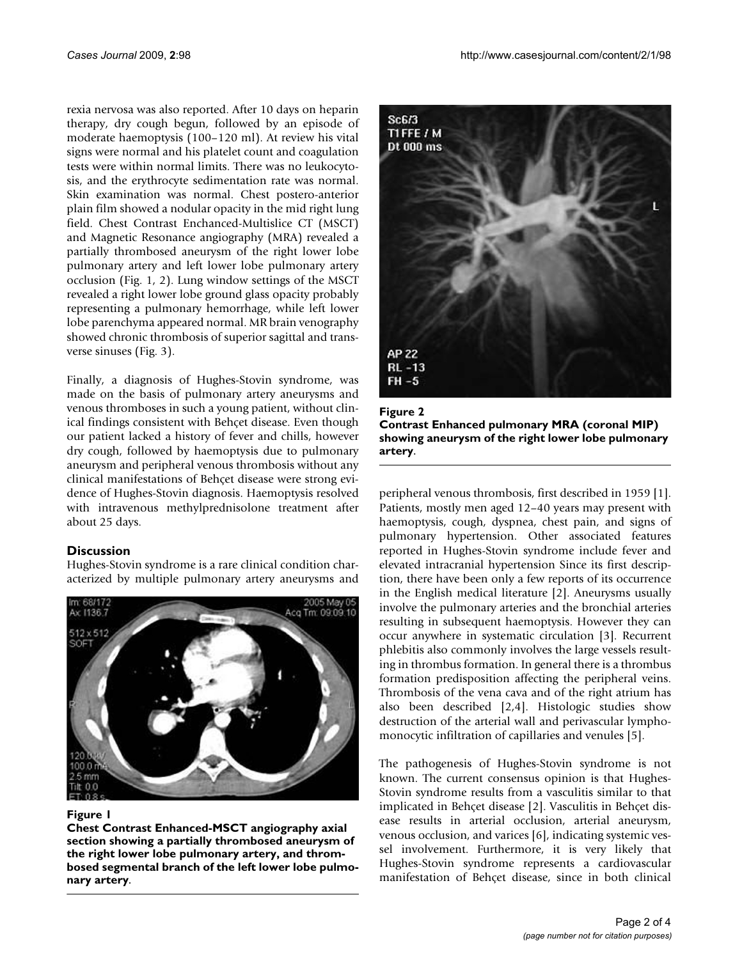rexia nervosa was also reported. After 10 days on heparin therapy, dry cough begun, followed by an episode of moderate haemoptysis (100–120 ml). At review his vital signs were normal and his platelet count and coagulation tests were within normal limits. There was no leukocytosis, and the erythrocyte sedimentation rate was normal. Skin examination was normal. Chest postero-anterior plain film showed a nodular opacity in the mid right lung field. Chest Contrast Enchanced-Multislice CT (MSCT) and Magnetic Resonance angiography (MRA) revealed a partially thrombosed aneurysm of the right lower lobe pulmonary artery and left lower lobe pulmonary artery occlusion (Fig. 1, 2). Lung window settings of the MSCT revealed a right lower lobe ground glass opacity probably representing a pulmonary hemorrhage, while left lower lobe parenchyma appeared normal. MR brain venography showed chronic thrombosis of superior sagittal and transverse sinuses (Fig. 3).

Finally, a diagnosis of Hughes-Stovin syndrome, was made on the basis of pulmonary artery aneurysms and venous thromboses in such a young patient, without clinical findings consistent with Behçet disease. Even though our patient lacked a history of fever and chills, however dry cough, followed by haemoptysis due to pulmonary aneurysm and peripheral venous thrombosis without any clinical manifestations of Behçet disease were strong evidence of Hughes-Stovin diagnosis. Haemoptysis resolved with intravenous methylprednisolone treatment after about 25 days.

### **Discussion**

Hughes-Stovin syndrome is a rare clinical condition characterized by multiple pulmonary artery aneurysms and



#### Figure I

**Chest Contrast Enhanced-MSCT angiography axial section showing a partially thrombosed aneurysm of the right lower lobe pulmonary artery, and thrombosed segmental branch of the left lower lobe pulmonary artery**.



Figure 2 **Contrast Enhanced pulmonary MRA (coronal MIP) showing aneurysm of the right lower lobe pulmonary artery**.

peripheral venous thrombosis, first described in 1959 [1]. Patients, mostly men aged 12–40 years may present with haemoptysis, cough, dyspnea, chest pain, and signs of pulmonary hypertension. Other associated features reported in Hughes-Stovin syndrome include fever and elevated intracranial hypertension Since its first description, there have been only a few reports of its occurrence in the English medical literature [2]. Aneurysms usually involve the pulmonary arteries and the bronchial arteries resulting in subsequent haemoptysis. However they can occur anywhere in systematic circulation [3]. Recurrent phlebitis also commonly involves the large vessels resulting in thrombus formation. In general there is a thrombus formation predisposition affecting the peripheral veins. Thrombosis of the vena cava and of the right atrium has also been described [2,4]. Histologic studies show destruction of the arterial wall and perivascular lymphomonocytic infiltration of capillaries and venules [5].

The pathogenesis of Hughes-Stovin syndrome is not known. The current consensus opinion is that Hughes-Stovin syndrome results from a vasculitis similar to that implicated in Behçet disease [2]. Vasculitis in Behçet disease results in arterial occlusion, arterial aneurysm, venous occlusion, and varices [6], indicating systemic vessel involvement. Furthermore, it is very likely that Hughes-Stovin syndrome represents a cardiovascular manifestation of Behçet disease, since in both clinical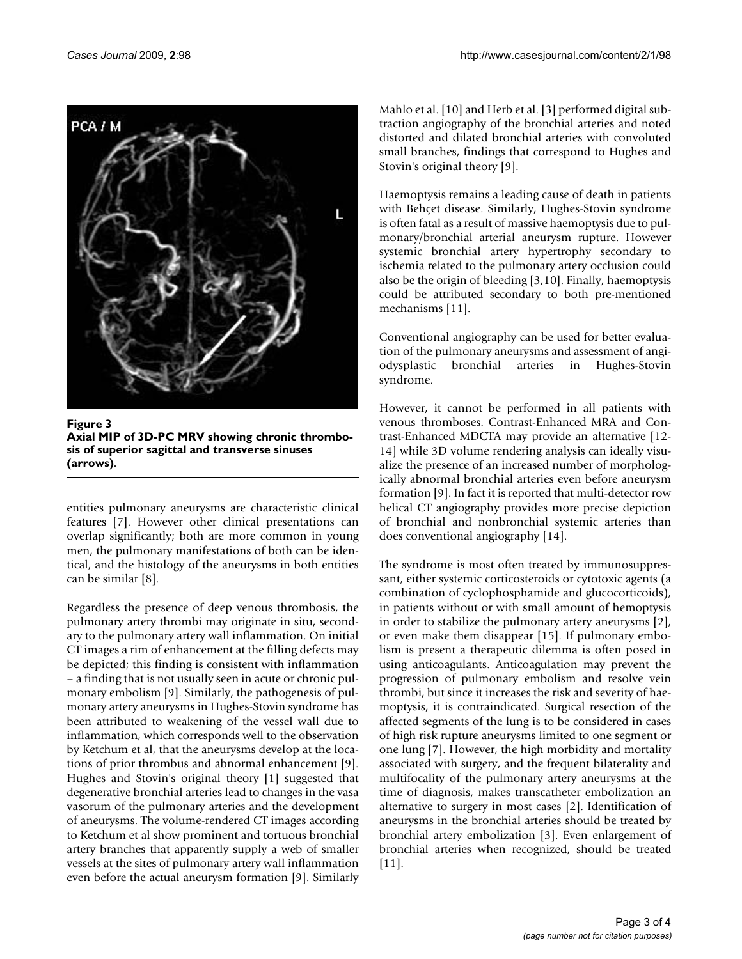

**Figure 3 Axial MIP of 3D-PC MRV showing chronic thrombosis of superior sagittal and transverse sinuses (arrows)**.

entities pulmonary aneurysms are characteristic clinical features [7]. However other clinical presentations can overlap significantly; both are more common in young men, the pulmonary manifestations of both can be identical, and the histology of the aneurysms in both entities can be similar [8].

Regardless the presence of deep venous thrombosis, the pulmonary artery thrombi may originate in situ, secondary to the pulmonary artery wall inflammation. On initial CT images a rim of enhancement at the filling defects may be depicted; this finding is consistent with inflammation – a finding that is not usually seen in acute or chronic pulmonary embolism [9]. Similarly, the pathogenesis of pulmonary artery aneurysms in Hughes-Stovin syndrome has been attributed to weakening of the vessel wall due to inflammation, which corresponds well to the observation by Ketchum et al, that the aneurysms develop at the locations of prior thrombus and abnormal enhancement [9]. Hughes and Stovin's original theory [1] suggested that degenerative bronchial arteries lead to changes in the vasa vasorum of the pulmonary arteries and the development of aneurysms. The volume-rendered CT images according to Ketchum et al show prominent and tortuous bronchial artery branches that apparently supply a web of smaller vessels at the sites of pulmonary artery wall inflammation even before the actual aneurysm formation [9]. Similarly Mahlo et al. [10] and Herb et al. [3] performed digital subtraction angiography of the bronchial arteries and noted distorted and dilated bronchial arteries with convoluted small branches, findings that correspond to Hughes and Stovin's original theory [9].

Haemoptysis remains a leading cause of death in patients with Behçet disease. Similarly, Hughes-Stovin syndrome is often fatal as a result of massive haemoptysis due to pulmonary/bronchial arterial aneurysm rupture. However systemic bronchial artery hypertrophy secondary to ischemia related to the pulmonary artery occlusion could also be the origin of bleeding [3,10]. Finally, haemoptysis could be attributed secondary to both pre-mentioned mechanisms [11].

Conventional angiography can be used for better evaluation of the pulmonary aneurysms and assessment of angiodysplastic bronchial arteries in Hughes-Stovin syndrome.

However, it cannot be performed in all patients with venous thromboses. Contrast-Enhanced MRA and Contrast-Enhanced MDCTA may provide an alternative [12- 14] while 3D volume rendering analysis can ideally visualize the presence of an increased number of morphologically abnormal bronchial arteries even before aneurysm formation [9]. In fact it is reported that multi-detector row helical CT angiography provides more precise depiction of bronchial and nonbronchial systemic arteries than does conventional angiography [14].

The syndrome is most often treated by immunosuppressant, either systemic corticosteroids or cytotoxic agents (a combination of cyclophosphamide and glucocorticoids), in patients without or with small amount of hemoptysis in order to stabilize the pulmonary artery aneurysms [2], or even make them disappear [15]. If pulmonary embolism is present a therapeutic dilemma is often posed in using anticoagulants. Anticoagulation may prevent the progression of pulmonary embolism and resolve vein thrombi, but since it increases the risk and severity of haemoptysis, it is contraindicated. Surgical resection of the affected segments of the lung is to be considered in cases of high risk rupture aneurysms limited to one segment or one lung [7]. However, the high morbidity and mortality associated with surgery, and the frequent bilaterality and multifocality of the pulmonary artery aneurysms at the time of diagnosis, makes transcatheter embolization an alternative to surgery in most cases [2]. Identification of aneurysms in the bronchial arteries should be treated by bronchial artery embolization [3]. Even enlargement of bronchial arteries when recognized, should be treated [11].